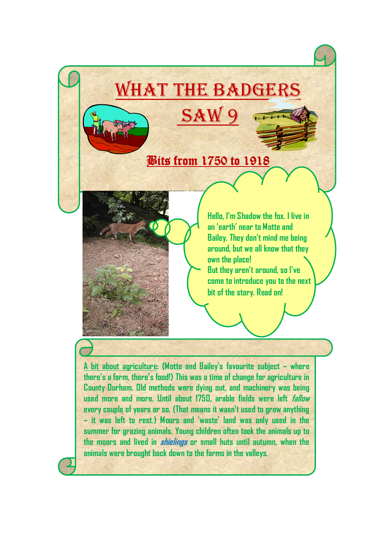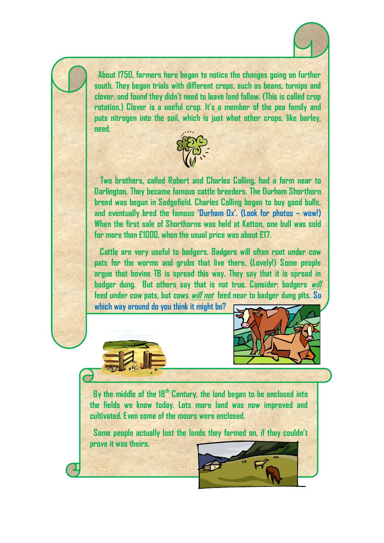

 **About 1750, farmers here began to notice the changes going on further south. They began trials with different crops, such as beans, turnips and clover, and found they didn't need to leave land fallow. (This is called crop rotation.) Clover is a useful crop. It's a member of the pea family and puts nitrogen into the soil, which is just what other crops, like barley, need.**



 **Two brothers, called Robert and Charles Colling, had a farm near to Darlington. They became famous cattle breeders. The Durham Shorthorn breed was begun in Sedgefield. Charles Colling began to buy good bulls, and eventually bred the famous 'Durham Ox'. (Look for photos – wow!) When the first sale of Shorthorns was held at Ketton, one bull was sold for more than £1000, when the usual price was about £17.** 

 **Cattle are very useful to badgers. Badgers will often root under cow pats for the worms and grubs that live there. (Lovely!) Some people argue that bovine TB is spread this way. They say that it is spread in badger dung. But others say that is not true. Consider: badgers will feed under cow pats, but cows will not feed near to badger dung pits. So** 

**which way around do you think it might be?** 





 **By the middle of the 18th Century, the land began to be enclosed into the fields we know today. Lots more land was now improved and cultivated. Even some of the moors were enclosed.**

 **Some people actually lost the lands they farmed on, if they couldn't prove it was theirs.**